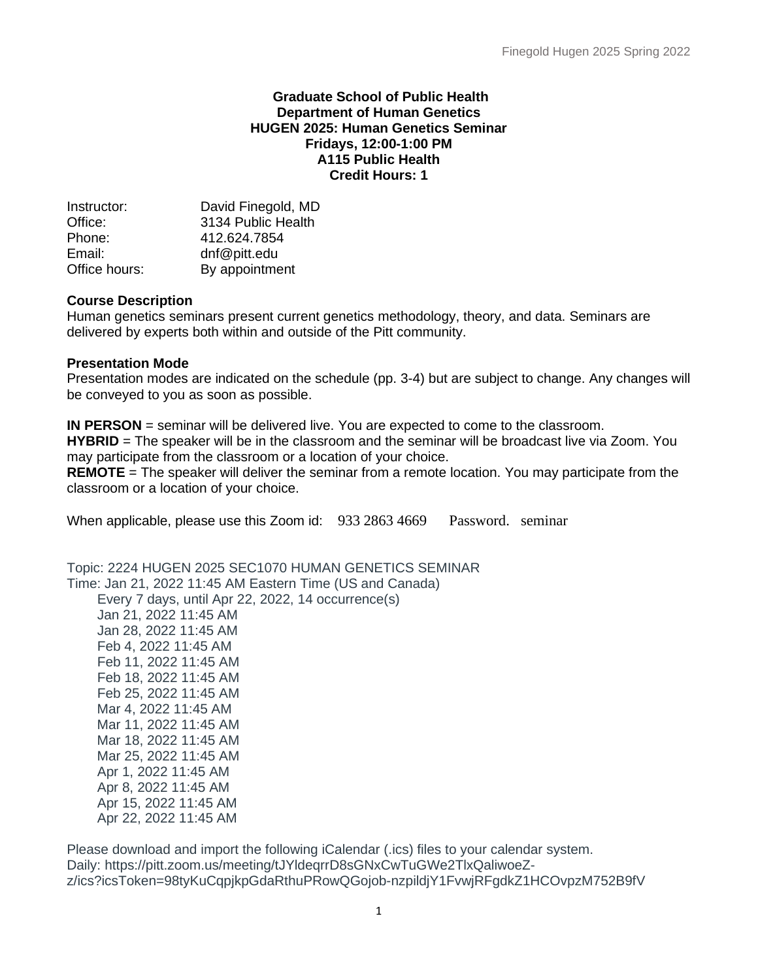#### **Graduate School of Public Health Department of Human Genetics HUGEN 2025: Human Genetics Seminar Fridays, 12:00-1:00 PM A115 Public Health Credit Hours: 1**

| Instructor:   | David Finegold, MD |
|---------------|--------------------|
| Office:       | 3134 Public Health |
| Phone:        | 412.624.7854       |
| Email:        | dnf@pitt.edu       |
| Office hours: | By appointment     |

### **Course Description**

Human genetics seminars present current genetics methodology, theory, and data. Seminars are delivered by experts both within and outside of the Pitt community.

#### **Presentation Mode**

Presentation modes are indicated on the schedule (pp. 3-4) but are subject to change. Any changes will be conveyed to you as soon as possible.

**IN PERSON** = seminar will be delivered live. You are expected to come to the classroom. **HYBRID** = The speaker will be in the classroom and the seminar will be broadcast live via Zoom. You may participate from the classroom or a location of your choice.

**REMOTE** = The speaker will deliver the seminar from a remote location. You may participate from the classroom or a location of your choice.

When applicable, please use this Zoom id: 933 2863 4669 Password. seminar

Topic: 2224 HUGEN 2025 SEC1070 HUMAN GENETICS SEMINAR Time: Jan 21, 2022 11:45 AM Eastern Time (US and Canada) Every 7 days, until Apr 22, 2022, 14 occurrence(s) Jan 21, 2022 11:45 AM

 Jan 28, 2022 11:45 AM Feb 4, 2022 11:45 AM Feb 11, 2022 11:45 AM Feb 18, 2022 11:45 AM Feb 25, 2022 11:45 AM Mar 4, 2022 11:45 AM Mar 11, 2022 11:45 AM Mar 18, 2022 11:45 AM Mar 25, 2022 11:45 AM Apr 1, 2022 11:45 AM Apr 8, 2022 11:45 AM Apr 15, 2022 11:45 AM Apr 22, 2022 11:45 AM

Please download and import the following iCalendar (.ics) files to your calendar system. Daily: https://pitt.zoom.us/meeting/tJYldeqrrD8sGNxCwTuGWe2TlxQaliwoeZz/ics?icsToken=98tyKuCqpjkpGdaRthuPRowQGojob-nzpildjY1FvwjRFgdkZ1HCOvpzM752B9fV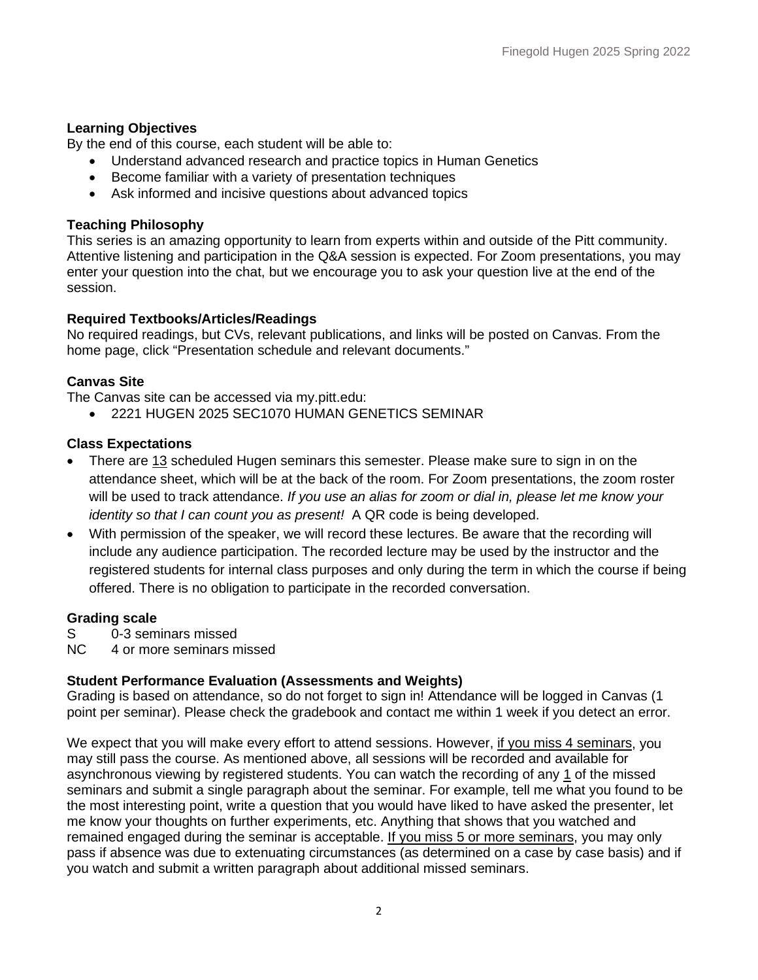### **Learning Objectives**

By the end of this course, each student will be able to:

- Understand advanced research and practice topics in Human Genetics
- Become familiar with a variety of presentation techniques
- Ask informed and incisive questions about advanced topics

### **Teaching Philosophy**

This series is an amazing opportunity to learn from experts within and outside of the Pitt community. Attentive listening and participation in the Q&A session is expected. For Zoom presentations, you may enter your question into the chat, but we encourage you to ask your question live at the end of the session.

# **Required Textbooks/Articles/Readings**

No required readings, but CVs, relevant publications, and links will be posted on Canvas. From the home page, click "Presentation schedule and relevant documents."

# **Canvas Site**

The Canvas site can be accessed via my.pitt.edu:

• 2221 HUGEN 2025 SEC1070 HUMAN GENETICS SEMINAR

### **Class Expectations**

- There are 13 scheduled Hugen seminars this semester. Please make sure to sign in on the attendance sheet, which will be at the back of the room. For Zoom presentations, the zoom roster will be used to track attendance. *If you use an alias for zoom or dial in, please let me know your identity so that I can count you as present!* A QR code is being developed.
- With permission of the speaker, we will record these lectures. Be aware that the recording will include any audience participation. The recorded lecture may be used by the instructor and the registered students for internal class purposes and only during the term in which the course if being offered. There is no obligation to participate in the recorded conversation.

#### **Grading scale**

- S 0-3 seminars missed
- NC 4 or more seminars missed

# **Student Performance Evaluation (Assessments and Weights)**

Grading is based on attendance, so do not forget to sign in! Attendance will be logged in Canvas (1 point per seminar). Please check the gradebook and contact me within 1 week if you detect an error.

We expect that you will make every effort to attend sessions. However, if you miss 4 seminars, you may still pass the course. As mentioned above, all sessions will be recorded and available for asynchronous viewing by registered students. You can watch the recording of any 1 of the missed seminars and submit a single paragraph about the seminar. For example, tell me what you found to be the most interesting point, write a question that you would have liked to have asked the presenter, let me know your thoughts on further experiments, etc. Anything that shows that you watched and remained engaged during the seminar is acceptable. If you miss 5 or more seminars, you may only pass if absence was due to extenuating circumstances (as determined on a case by case basis) and if you watch and submit a written paragraph about additional missed seminars.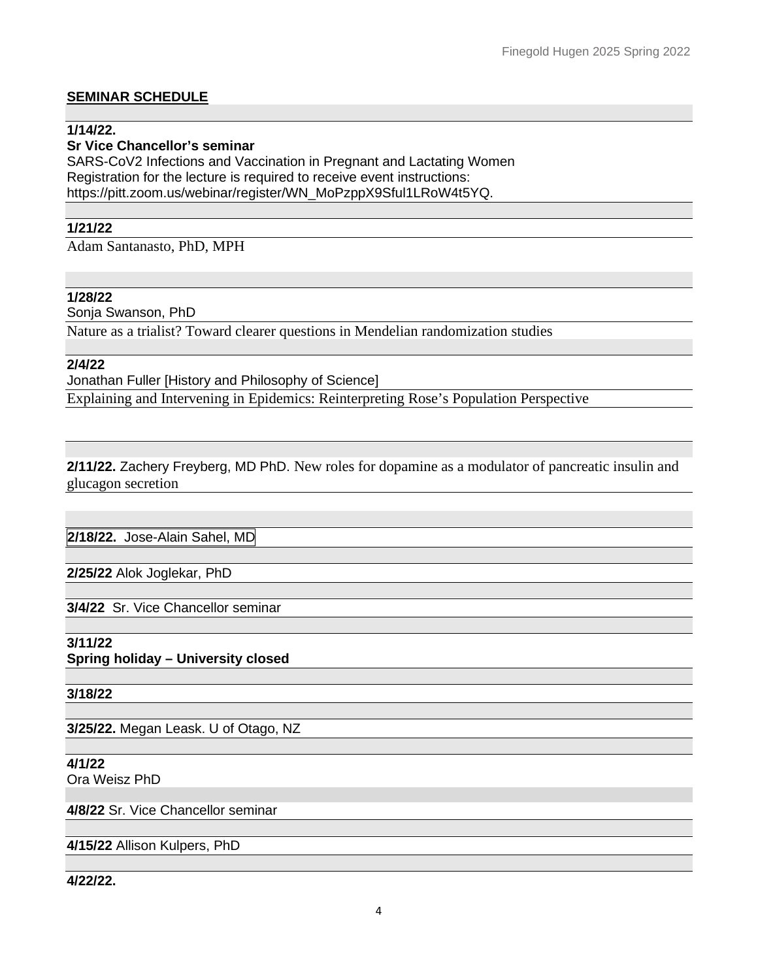# **SEMINAR SCHEDULE**

#### **1/14/22.**

### **Sr Vice Chancellor's seminar**

SARS-CoV2 Infections and Vaccination in Pregnant and Lactating Women Registration for the lecture is required to receive event instructions: https://pitt.zoom.us/webinar/register/WN\_MoPzppX9Sful1LRoW4t5YQ.

# **1/21/22**

Adam Santanasto, PhD, MPH

### **1/28/22**

Sonja Swanson, PhD

Nature as a trialist? Toward clearer questions in Mendelian randomization studies

**2/4/22**

#### Jonathan Fuller [History and Philosophy of Science]

Explaining and Intervening in Epidemics: Reinterpreting Rose's Population Perspective

#### **2/11/22.** Zachery Freyberg, MD PhD. New roles for dopamine as a modulator of pancreatic insulin and glucagon secretion

**2/18/22.** Jose-Alain Sahel, MD

**2/25/22** Alok Joglekar, PhD

**3/4/22** Sr. Vice Chancellor seminar

# **3/11/22**

**Spring holiday – University closed**

**3/18/22**

**3/25/22.** Megan Leask. U of Otago, NZ

# **4/1/22**

Ora Weisz PhD

**4/8/22** Sr. Vice Chancellor seminar

# **4/15/22** Allison Kulpers, PhD

**4/22/22.**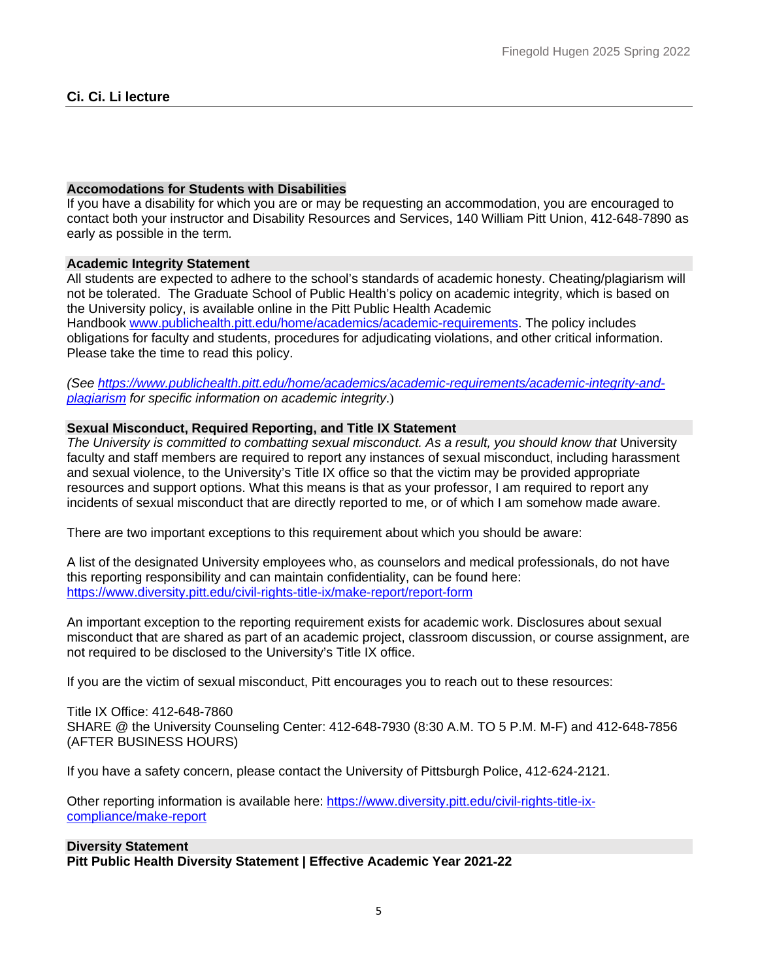#### **Accomodations for Students with Disabilities**

If you have a disability for which you are or may be requesting an accommodation, you are encouraged to contact both your instructor and Disability Resources and Services, 140 William Pitt Union, 412-648-7890 as early as possible in the term*.*

#### **Academic Integrity Statement**

All students are expected to adhere to the school's standards of academic honesty. Cheating/plagiarism will not be tolerated. The Graduate School of Public Health's policy on academic integrity, which is based on the University policy, is available online in the Pitt Public Health Academic Handbook [www.publichealth.pitt.edu/home/academics/academic-requirements.](https://na01.safelinks.protection.outlook.com/?url=http%3A%2F%2Fwww.publichealth.pitt.edu%2Fhome%2Facademics%2Facademic-requirements&data=01%7C01%7CRobin.Leaf%40pitt.edu%7Cd2b682f8df1344a1488b08d5f7078713%7C9ef9f489e0a04eeb87cc3a526112fd0d%7C1&sdata=6ufA2nSlUetTPqxC3zE70WlE7mLMvNKznCNB7nQHwj0%3D&reserved=0) The policy includes obligations for faculty and students, procedures for adjudicating violations, and other critical information. Please take the time to read this policy.

*(See [https://www.publichealth.pitt.edu/home/academics/academic-requirements/academic-integrity-and](https://www.publichealth.pitt.edu/home/academics/academic-requirements/academic-integrity-and-plagiarism)[plagiarism](https://www.publichealth.pitt.edu/home/academics/academic-requirements/academic-integrity-and-plagiarism) for specific information on academic integrity*.)

#### **Sexual Misconduct, Required Reporting, and Title IX Statement**

The University is committed to combatting sexual misconduct. As a result, you should know that University faculty and staff members are required to report any instances of sexual misconduct, including harassment and sexual violence, to the University's Title IX office so that the victim may be provided appropriate resources and support options. What this means is that as your professor, I am required to report any incidents of sexual misconduct that are directly reported to me, or of which I am somehow made aware.

There are two important exceptions to this requirement about which you should be aware:

A list of the designated University employees who, as counselors and medical professionals, do not have this reporting responsibility and can maintain confidentiality, can be found here: <https://www.diversity.pitt.edu/civil-rights-title-ix/make-report/report-form>

An important exception to the reporting requirement exists for academic work. Disclosures about sexual misconduct that are shared as part of an academic project, classroom discussion, or course assignment, are not required to be disclosed to the University's Title IX office.

If you are the victim of sexual misconduct, Pitt encourages you to reach out to these resources:

Title IX Office: 412-648-7860 SHARE @ the University Counseling Center: 412-648-7930 (8:30 A.M. TO 5 P.M. M-F) and 412-648-7856 (AFTER BUSINESS HOURS)

If you have a safety concern, please contact the University of Pittsburgh Police, 412-624-2121.

Other reporting information is available here: [https://www.diversity.pitt.edu/civil-rights-title-ix](https://www.diversity.pitt.edu/civil-rights-title-ix-compliance/make-report)[compliance/make-report](https://www.diversity.pitt.edu/civil-rights-title-ix-compliance/make-report)

# **Diversity Statement**

**Pitt Public Health Diversity Statement | Effective Academic Year 2021**‐**22**